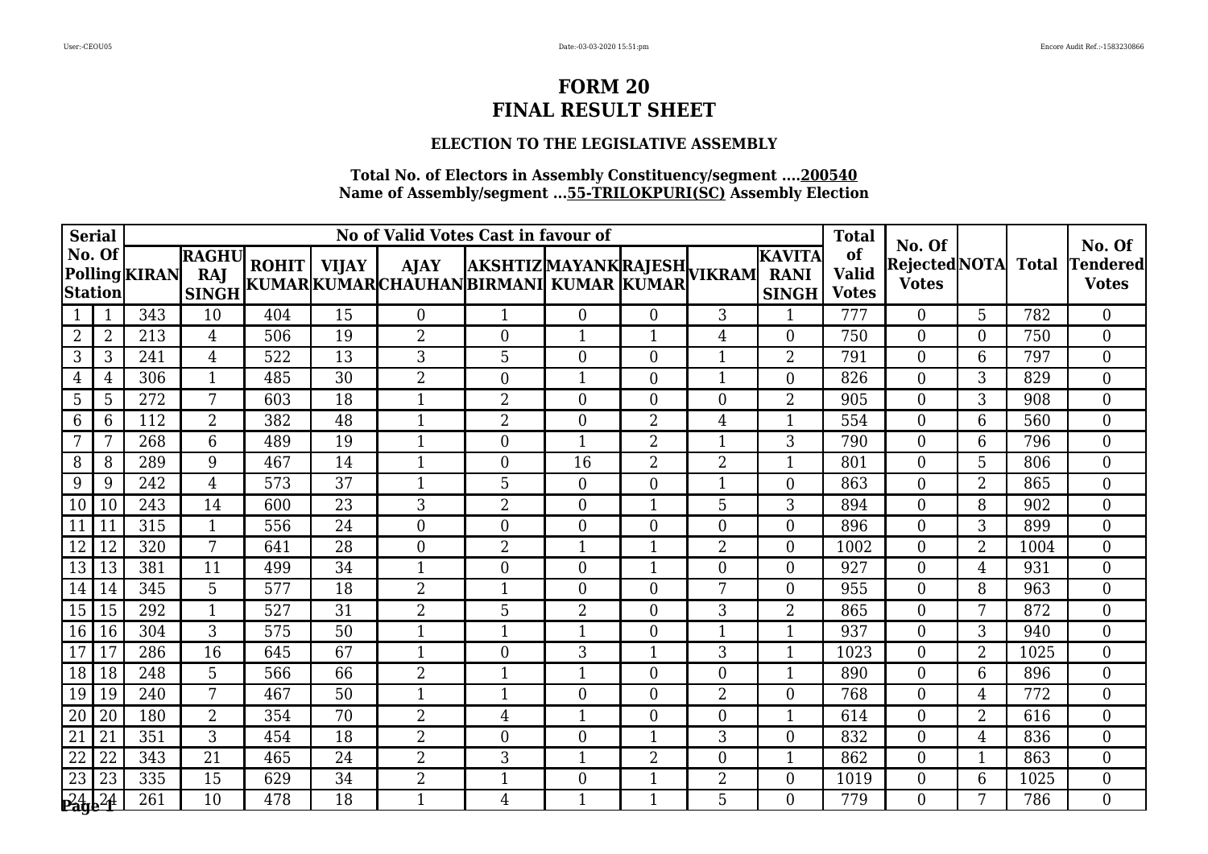# **ELECTION TO THE LEGISLATIVE ASSEMBLY**

| <b>Serial</b>             |    |               |                                     |     |    | No of Valid Votes Cast in favour of                                                                           |                  |                  |                  |                | <b>Total</b>                                 | No. Of                             |                                     |                | No. Of |                                 |
|---------------------------|----|---------------|-------------------------------------|-----|----|---------------------------------------------------------------------------------------------------------------|------------------|------------------|------------------|----------------|----------------------------------------------|------------------------------------|-------------------------------------|----------------|--------|---------------------------------|
| No. Of<br><b>Station</b>  |    | Polling KIRAN | <b>RAGHU</b><br>RAJ<br><b>SINGH</b> |     |    | ROHIT   VIJAY   AJAY  AKSHTIZ MAYANK RAJESH <br> KUMAR KUMAR CHAUHAN BIRMANI  KUMAR  KUMAR  <sup>VIKRAM</sup> |                  |                  |                  |                | <b>KAVITA</b><br><b>RANI</b><br><b>SINGH</b> | of<br><b>Valid</b><br><b>Votes</b> | Rejected NOTA Total<br><b>Votes</b> |                |        | <b>Tendered</b><br><b>Votes</b> |
|                           | 1  | 343           | 10                                  | 404 | 15 | $\theta$                                                                                                      | 1                | $\Omega$         | $\Omega$         | 3              | 1                                            | 777                                | $\Omega$                            | 5              | 782    | $\Omega$                        |
| 2                         | 2  | 213           | 4                                   | 506 | 19 | 2                                                                                                             | $\boldsymbol{0}$ |                  |                  | 4              | $\overline{0}$                               | 750                                | $\overline{0}$                      | $\theta$       | 750    | $\overline{0}$                  |
| 3                         | 3  | 241           | 4                                   | 522 | 13 | 3                                                                                                             | 5                | $\overline{0}$   | $\boldsymbol{0}$ | 1              | $\overline{2}$                               | 791                                | 0                                   | 6              | 797    | $\overline{0}$                  |
| $\overline{4}$            | 4  | 306           | $\mathbf{1}$                        | 485 | 30 | 2                                                                                                             | $\boldsymbol{0}$ | $\mathbf{1}$     | $\overline{0}$   | $\mathbf{1}$   | $\overline{0}$                               | 826                                | $\overline{0}$                      | 3              | 829    | $\overline{0}$                  |
| 5                         | 5  | 272           | 7                                   | 603 | 18 | $\mathbf{1}$                                                                                                  | $\overline{2}$   | $\overline{0}$   | $\overline{0}$   | $\overline{0}$ | 2                                            | 905                                | 0                                   | 3              | 908    | $\overline{0}$                  |
| 6                         | 6  | 112           | $\overline{2}$                      | 382 | 48 | $\mathbf{1}$                                                                                                  | $\overline{2}$   | $\theta$         | $\overline{2}$   | 4              | $\mathbf{1}$                                 | 554                                | $\overline{0}$                      | 6              | 560    | $\overline{0}$                  |
| 7                         | 7  | 268           | $6\phantom{1}$                      | 489 | 19 | $\mathbf{1}$                                                                                                  | $\boldsymbol{0}$ | $\mathbf{1}$     | $\overline{2}$   | 1              | 3                                            | 790                                | $\Omega$                            | 6              | 796    | $\overline{0}$                  |
| 8                         | 8  | 289           | 9                                   | 467 | 14 | $\mathbf{1}$                                                                                                  | $\boldsymbol{0}$ | 16               | $\overline{2}$   | $\overline{2}$ | 1                                            | 801                                | $\overline{0}$                      | 5              | 806    | $\overline{0}$                  |
| 9                         | 9  | 242           | $\overline{4}$                      | 573 | 37 | $\mathbf{1}$                                                                                                  | 5                | $\boldsymbol{0}$ | $\boldsymbol{0}$ | $\mathbf{1}$   | $\boldsymbol{0}$                             | 863                                | $\overline{0}$                      | $\overline{2}$ | 865    | $\overline{0}$                  |
| 10                        | 10 | 243           | 14                                  | 600 | 23 | 3                                                                                                             | $\overline{2}$   | $\Omega$         | $\mathbf{1}$     | 5              | 3                                            | 894                                | $\Omega$                            | 8              | 902    | $\Omega$                        |
| 11                        | 11 | 315           | $\mathbf{1}$                        | 556 | 24 | $\overline{0}$                                                                                                | $\overline{0}$   | $\Omega$         | $\theta$         | $\theta$       | $\overline{0}$                               | 896                                | $\overline{0}$                      | 3              | 899    | $\overline{0}$                  |
| 12                        | 12 | 320           | 7                                   | 641 | 28 | $\overline{0}$                                                                                                | $\overline{2}$   | $\mathbf{1}$     | -1               | 2              | $\overline{0}$                               | 1002                               | $\overline{0}$                      | $\overline{2}$ | 1004   | $\overline{0}$                  |
| 13                        | 13 | 381           | 11                                  | 499 | 34 | $\mathbf{1}$                                                                                                  | $\boldsymbol{0}$ | $\overline{0}$   | $\mathbf{1}$     | $\overline{0}$ | $\overline{0}$                               | 927                                | $\overline{0}$                      | $\overline{4}$ | 931    | $\overline{0}$                  |
| 14                        | 14 | 345           | 5                                   | 577 | 18 | $\overline{2}$                                                                                                | $\mathbf{1}$     | $\overline{0}$   | $\overline{0}$   | 7              | $\overline{0}$                               | 955                                | $\overline{0}$                      | 8              | 963    | $\overline{0}$                  |
| 15                        | 15 | 292           | $\mathbf{1}$                        | 527 | 31 | $\overline{2}$                                                                                                | 5                | $\overline{2}$   | $\theta$         | 3              | $\overline{2}$                               | 865                                | $\overline{0}$                      | 7              | 872    | $\overline{0}$                  |
| 16                        | 16 | 304           | 3                                   | 575 | 50 | $\mathbf{1}$                                                                                                  | 1                | $\mathbf 1$      | $\theta$         | 1              | 1                                            | 937                                | $\Omega$                            | 3              | 940    | $\overline{0}$                  |
| 17                        | 17 | 286           | 16                                  | 645 | 67 | 1                                                                                                             | $\boldsymbol{0}$ | 3                | 1                | 3              | 1                                            | 1023                               | $\Omega$                            | $\overline{2}$ | 1025   | $\overline{0}$                  |
| 18                        | 18 | 248           | 5                                   | 566 | 66 | $\overline{2}$                                                                                                | $\mathbf{1}$     | $\mathbf{1}$     | $\overline{0}$   | $\theta$       | 1                                            | 890                                | $\overline{0}$                      | 6              | 896    | $\overline{0}$                  |
| 19                        | 19 | 240           | 7                                   | 467 | 50 | $\mathbf 1$                                                                                                   | 1                | $\Omega$         | $\overline{0}$   | $\overline{2}$ | $\overline{0}$                               | 768                                | $\Omega$                            | $\overline{4}$ | 772    | $\overline{0}$                  |
| 20                        | 20 | 180           | $\overline{2}$                      | 354 | 70 | $\overline{2}$                                                                                                | $\overline{4}$   | $\mathbf 1$      | $\theta$         | $\overline{0}$ | 1                                            | 614                                | $\theta$                            | $\overline{2}$ | 616    | $\overline{0}$                  |
| $\overline{21}$           | 21 | 351           | 3                                   | 454 | 18 | $\overline{2}$                                                                                                | $\overline{0}$   | $\theta$         | $\mathbf{1}$     | 3              | $\overline{0}$                               | 832                                | $\overline{0}$                      | $\overline{4}$ | 836    | $\overline{0}$                  |
| 22                        | 22 | 343           | 21                                  | 465 | 24 | $\overline{2}$                                                                                                | 3                | 1                | $\overline{2}$   | 0              | $\mathbf 1$                                  | 862                                | $\Omega$                            |                | 863    | $\overline{0}$                  |
| 23                        | 23 | 335           | 15                                  | 629 | 34 | $\overline{2}$                                                                                                | $\mathbf{1}$     | $\overline{0}$   | $\mathbf{1}$     | $\overline{2}$ | $\boldsymbol{0}$                             | 1019                               | $\overline{0}$                      | 6              | 1025   | $\overline{0}$                  |
| $\sqrt{24}$ <sub>24</sub> |    | 261           | 10                                  | 478 | 18 | $\mathbf{1}$                                                                                                  | $\overline{4}$   | $\mathbf{1}$     | $\mathbf{1}$     | 5              | $\Omega$                                     | 779                                | $\Omega$                            | 7              | 786    | $\Omega$                        |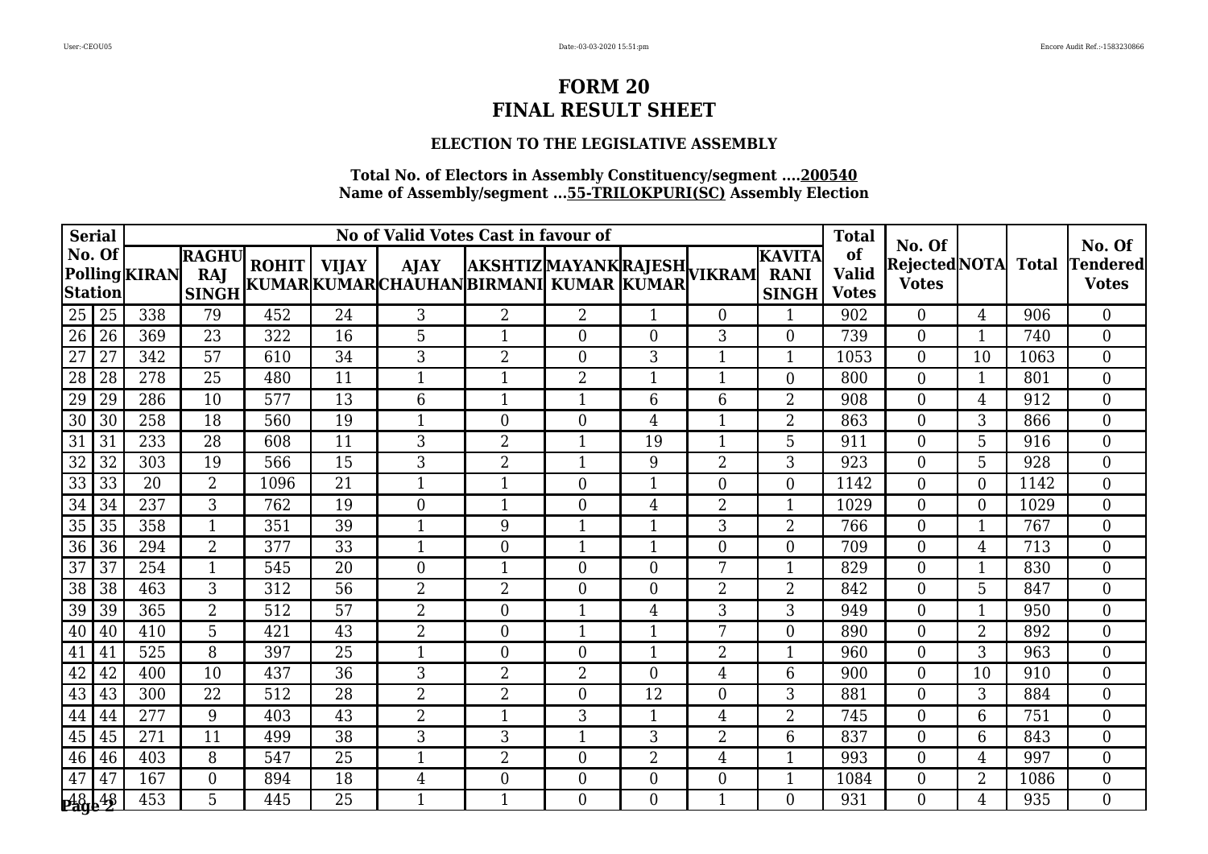# **ELECTION TO THE LEGISLATIVE ASSEMBLY**

| <b>Serial</b>     |    |               |                                     |      | No of Valid Votes Cast in favour of |                                                                                                               |                  |                         |                |                |                                              |                                    | No. Of                              |                |      | No. Of                          |
|-------------------|----|---------------|-------------------------------------|------|-------------------------------------|---------------------------------------------------------------------------------------------------------------|------------------|-------------------------|----------------|----------------|----------------------------------------------|------------------------------------|-------------------------------------|----------------|------|---------------------------------|
| No. Of<br>Station |    | Polling KIRAN | <b>RAGHU</b><br>RAJ<br><b>SINGH</b> |      |                                     | ROHIT   VIJAY   AJAY  AKSHTIZ MAYANK RAJESH <br> KUMAR KUMAR CHAUHAN BIRMANI  KUMAR  KUMAR  <sup>VIKRAM</sup> |                  |                         |                |                | <b>KAVITA</b><br><b>RANI</b><br><b>SINGH</b> | of<br><b>Valid</b><br><b>Votes</b> | Rejected NOTA Total<br><b>Votes</b> |                |      | <b>Tendered</b><br><b>Votes</b> |
| 25                | 25 | 338           | 79                                  | 452  | 24                                  | 3                                                                                                             | $\overline{2}$   | $\overline{2}$          | $\mathbf{1}$   | $\Omega$       | 1                                            | 902                                | $\overline{0}$                      | 4              | 906  | $\Omega$                        |
| 26                | 26 | 369           | 23                                  | 322  | 16                                  | 5                                                                                                             |                  | $\theta$                | $\theta$       | 3              | $\overline{0}$                               | 739                                | $\Omega$                            | 1              | 740  | $\overline{0}$                  |
| 27                | 27 | 342           | 57                                  | 610  | 34                                  | 3                                                                                                             | $\overline{2}$   | $\overline{0}$          | 3              | 1              | $\mathbf{1}$                                 | 1053                               | $\Omega$                            | 10             | 1063 | $\overline{0}$                  |
| 28                | 28 | 278           | 25                                  | 480  | 11                                  | $\mathbf{1}$                                                                                                  | $\mathbf{1}$     | $\overline{2}$          | 1              | 1              | $\overline{0}$                               | 800                                | $\overline{0}$                      | 1              | 801  | $\overline{0}$                  |
| 29                | 29 | 286           | 10                                  | 577  | 13                                  | 6                                                                                                             | $\mathbf 1$      |                         | 6              | 6              | 2                                            | 908                                | $\theta$                            | $\overline{4}$ | 912  | $\overline{0}$                  |
| 30                | 30 | 258           | 18                                  | 560  | 19                                  | $\mathbf{1}$                                                                                                  | $\overline{0}$   | $\overline{0}$          | 4              | $\mathbf{1}$   | $\overline{2}$                               | 863                                | $\overline{0}$                      | 3              | 866  | $\overline{0}$                  |
| 31                | 31 | 233           | 28                                  | 608  | 11                                  | 3                                                                                                             | $\overline{2}$   | $\mathbf{1}$            | 19             | $\mathbf{1}$   | 5                                            | 911                                | $\Omega$                            | 5              | 916  | $\Omega$                        |
| 32                | 32 | 303           | 19                                  | 566  | 15                                  | 3                                                                                                             | $\overline{2}$   | $\mathbf{1}$            | 9              | $\overline{2}$ | 3                                            | 923                                | $\Omega$                            | 5              | 928  | $\overline{0}$                  |
| 33                | 33 | 20            | $\overline{2}$                      | 1096 | 21                                  | $\mathbf{1}$                                                                                                  | $\mathbf{1}$     | $\overline{0}$          | 1              | $\overline{0}$ | $\boldsymbol{0}$                             | 1142                               | $\overline{0}$                      | $\theta$       | 1142 | $\overline{0}$                  |
| 34                | 34 | 237           | 3                                   | 762  | 19                                  | $\overline{0}$                                                                                                | $\mathbf{1}$     | $\Omega$                | 4              | $\overline{2}$ | $\mathbf{1}$                                 | 1029                               | $\Omega$                            | $\theta$       | 1029 | $\overline{0}$                  |
| 35                | 35 | 358           | $\mathbf{1}$                        | 351  | 39                                  | $\mathbf{1}$                                                                                                  | 9                | $\mathbf{1}$            | $\mathbf 1$    | 3              | 2                                            | 766                                | $\overline{0}$                      |                | 767  | $\overline{0}$                  |
| 36                | 36 | 294           | $\overline{2}$                      | 377  | 33                                  | $\mathbf{1}$                                                                                                  | $\boldsymbol{0}$ | $\mathbf{1}$            | $\mathbf 1$    | $\overline{0}$ | $\overline{0}$                               | 709                                | $\overline{0}$                      | 4              | 713  | $\overline{0}$                  |
| 37                | 37 | 254           | $\mathbf{1}$                        | 545  | 20                                  | $\overline{0}$                                                                                                | $\mathbf{1}$     | $\Omega$                | $\overline{0}$ | 7              | $\mathbf{1}$                                 | 829                                | $\overline{0}$                      | 1              | 830  | $\Omega$                        |
| 38                | 38 | 463           | 3                                   | 312  | 56                                  | $\overline{2}$                                                                                                | $\overline{2}$   | $\Omega$                | $\theta$       | $\overline{2}$ | 2                                            | 842                                | $\Omega$                            | 5              | 847  | $\Omega$                        |
| 39                | 39 | 365           | $\overline{2}$                      | 512  | 57                                  | $\overline{2}$                                                                                                | $\boldsymbol{0}$ | $\overline{\mathbf{1}}$ | 4              | 3              | 3                                            | 949                                | $\overline{0}$                      |                | 950  | $\overline{0}$                  |
| 40                | 40 | 410           | 5                                   | 421  | 43                                  | $\overline{2}$                                                                                                | $\boldsymbol{0}$ | $\mathbf{1}$            | 1              | 7              | $\overline{0}$                               | 890                                | $\overline{0}$                      | $\overline{2}$ | 892  | $\overline{0}$                  |
| 41                | 41 | 525           | 8                                   | 397  | 25                                  | $\mathbf{1}$                                                                                                  | $\boldsymbol{0}$ | $\overline{0}$          | $\mathbf{1}$   | $\overline{2}$ | $\mathbf 1$                                  | 960                                | $\Omega$                            | 3              | 963  | $\overline{0}$                  |
| 42                | 42 | 400           | 10                                  | 437  | $\overline{36}$                     | 3                                                                                                             | $\overline{2}$   | $\overline{2}$          | $\theta$       | 4              | 6                                            | 900                                | $\overline{0}$                      | 10             | 910  | $\overline{0}$                  |
| 43                | 43 | 300           | 22                                  | 512  | 28                                  | $\overline{2}$                                                                                                | $\overline{2}$   | $\Omega$                | 12             | $\overline{0}$ | 3                                            | 881                                | $\Omega$                            | 3              | 884  | $\overline{0}$                  |
| 44                | 44 | 277           | 9                                   | 403  | 43                                  | 2                                                                                                             | $\mathbf{1}$     | 3                       | -1             | 4              | $\overline{2}$                               | 745                                | $\Omega$                            | 6              | 751  | $\overline{0}$                  |
| 45                | 45 | 271           | 11                                  | 499  | 38                                  | 3                                                                                                             | 3                | $\mathbf{1}$            | 3              | $\overline{2}$ | 6                                            | 837                                | $\overline{0}$                      | 6              | 843  | $\overline{0}$                  |
| 46                | 46 | 403           | 8                                   | 547  | 25                                  | 1                                                                                                             | $\overline{2}$   | $\overline{0}$          | $\overline{2}$ | $\overline{4}$ | 1                                            | 993                                | $\Omega$                            | 4              | 997  | $\overline{0}$                  |
| 47                | 47 | 167           | $\overline{0}$                      | 894  | 18                                  | $\overline{4}$                                                                                                | $\boldsymbol{0}$ | $\overline{0}$          | $\overline{0}$ | $\overline{0}$ | $\mathbf 1$                                  | 1084                               | $\overline{0}$                      | $\overline{2}$ | 1086 | $\overline{0}$                  |
| 48.48             |    | 453           | 5                                   | 445  | 25                                  | $\mathbf{1}$                                                                                                  | $\mathbf{1}$     | $\Omega$                | $\Omega$       | 1              | $\Omega$                                     | 931                                | $\Omega$                            | $\overline{4}$ | 935  | $\Omega$                        |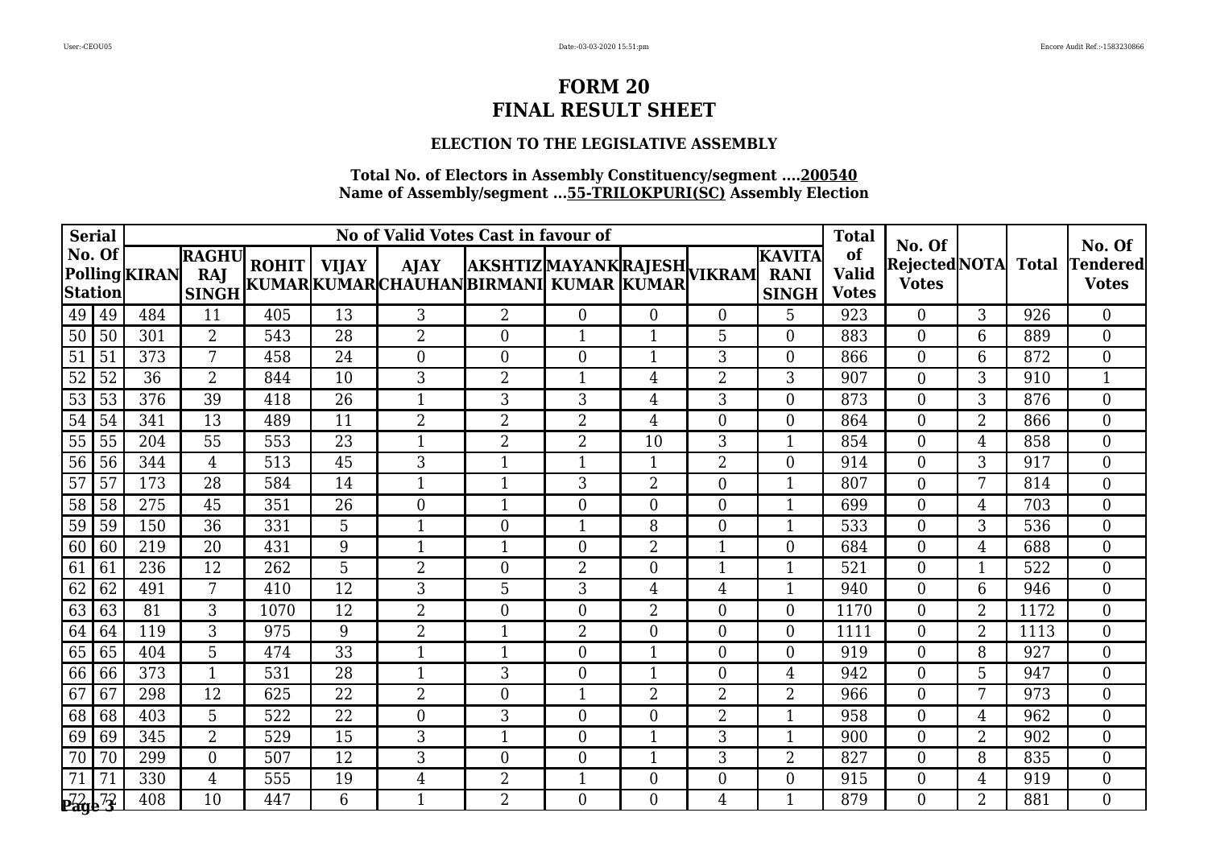### **ELECTION TO THE LEGISLATIVE ASSEMBLY**

| <b>Serial</b>   |        |               |                                     |      |                 | No of Valid Votes Cast in favour of                                                                   |                  |                |                | <b>Total</b>   | No. Of                                       |                                    |                                     | No. Of         |      |                           |
|-----------------|--------|---------------|-------------------------------------|------|-----------------|-------------------------------------------------------------------------------------------------------|------------------|----------------|----------------|----------------|----------------------------------------------|------------------------------------|-------------------------------------|----------------|------|---------------------------|
| <b>Station</b>  | No. Of | Polling KIRAN | <b>RAGHU</b><br>RAJ<br><b>SINGH</b> |      |                 | ROHIT   VIJAY   AJAY   AKSHTIZ MAYANK RAJESH <br>  KUMAR KUMAR CHAUHAN BIRMANI  KUMAR   KUMAR  VIKRAM |                  |                |                |                | <b>KAVITA</b><br><b>RANI</b><br><b>SINGH</b> | of<br><b>Valid</b><br><b>Votes</b> | Rejected NOTA Total<br><b>Votes</b> |                |      | Tendered <br><b>Votes</b> |
| 49              | 49     | 484           | 11                                  | 405  | 13              | 3                                                                                                     | $\overline{2}$   | $\Omega$       | $\overline{0}$ | $\overline{0}$ | 5                                            | 923                                | $\overline{0}$                      | 3              | 926  | $\overline{0}$            |
| 50              | 50     | 301           | $\overline{2}$                      | 543  | 28              | $\overline{2}$                                                                                        | $\overline{0}$   | $\mathbf 1$    | 1              | 5              | $\overline{0}$                               | 883                                | $\overline{0}$                      | 6              | 889  | $\overline{0}$            |
| 51              | 51     | 373           | 7                                   | 458  | 24              | $\overline{0}$                                                                                        | $\overline{0}$   | $\Omega$       | $\mathbf 1$    | 3              | $\overline{0}$                               | 866                                | $\Omega$                            | 6              | 872  | $\overline{0}$            |
| $\overline{52}$ | 52     | 36            | $\overline{2}$                      | 844  | 10              | 3                                                                                                     | $\overline{2}$   | $\mathbf{1}$   | 4              | $\overline{2}$ | 3                                            | 907                                | $\overline{0}$                      | 3              | 910  | $\mathbf{1}$              |
| 53              | 53     | 376           | 39                                  | 418  | 26              | $\mathbf 1$                                                                                           | 3                | 3              | $\overline{4}$ | 3              | $\overline{0}$                               | 873                                | 0                                   | 3              | 876  | $\boldsymbol{0}$          |
| 54              | 54     | 341           | 13                                  | 489  | 11              | $\overline{2}$                                                                                        | $\overline{2}$   | 2              | $\overline{4}$ | $\overline{0}$ | $\boldsymbol{0}$                             | 864                                | $\overline{0}$                      | $\overline{2}$ | 866  | $\boldsymbol{0}$          |
| 55              | 55     | 204           | 55                                  | 553  | 23              | 1                                                                                                     | $\overline{2}$   | $\overline{2}$ | 10             | 3              | $\mathbf{1}$                                 | 854                                | $\overline{0}$                      | 4              | 858  | $\overline{0}$            |
| 56              | 56     | 344           | $\overline{4}$                      | 513  | 45              | 3                                                                                                     | $\mathbf 1$      | $\mathbf 1$    | 1              | $\overline{2}$ | $\overline{0}$                               | 914                                | $\Omega$                            | 3              | 917  | $\overline{0}$            |
| $\overline{57}$ | 57     | 173           | $\overline{28}$                     | 584  | 14              | 1                                                                                                     | $\mathbf{1}$     | 3              | $\overline{2}$ | $\overline{0}$ | 1                                            | 807                                | $\overline{0}$                      | 7              | 814  | $\overline{0}$            |
| 58              | 58     | 275           | 45                                  | 351  | 26              | $\overline{0}$                                                                                        | $\mathbf{1}$     | $\overline{0}$ | $\theta$       | $\theta$       | $\mathbf{1}$                                 | 699                                | $\Omega$                            | 4              | 703  | $\overline{0}$            |
| 59              | 59     | 150           | 36                                  | 331  | 5               | $\mathbf{1}$                                                                                          | $\boldsymbol{0}$ | $\mathbf 1$    | 8              | $\theta$       | 1                                            | 533                                | $\Omega$                            | 3              | 536  | $\overline{0}$            |
| 60              | 60     | 219           | 20                                  | 431  | 9               | 1                                                                                                     | $\mathbf{1}$     | $\overline{0}$ | $\overline{2}$ | 1              | $\overline{0}$                               | 684                                | $\overline{0}$                      | 4              | 688  | $\overline{0}$            |
| 61              | 61     | 236           | 12                                  | 262  | 5               | $\overline{2}$                                                                                        | $\overline{0}$   | $\overline{2}$ | $\theta$       | 1              | $\mathbf{1}$                                 | 521                                | $\Omega$                            | 1              | 522  | $\boldsymbol{0}$          |
| 62              | 62     | 491           | 7                                   | 410  | 12              | 3                                                                                                     | 5                | 3              | $\overline{4}$ | $\overline{4}$ | 1                                            | 940                                | $\overline{0}$                      | 6              | 946  | $\overline{0}$            |
| 63              | 63     | 81            | 3                                   | 1070 | 12              | $\overline{2}$                                                                                        | $\overline{0}$   | $\overline{0}$ | $\overline{2}$ | $\overline{0}$ | $\overline{0}$                               | 1170                               | $\overline{0}$                      | $\overline{2}$ | 1172 | $\overline{0}$            |
| 64              | 64     | 119           | 3                                   | 975  | 9               | $\overline{2}$                                                                                        | $\mathbf{1}$     | $\overline{2}$ | $\overline{0}$ | $\overline{0}$ | $\overline{0}$                               | 1111                               | $\Omega$                            | $\overline{2}$ | 1113 | $\overline{0}$            |
| 65              | 65     | 404           | 5                                   | 474  | 33              | 1                                                                                                     | $\mathbf{1}$     | $\Omega$       | $\mathbf 1$    | $\overline{0}$ | $\overline{0}$                               | 919                                | 0                                   | 8              | 927  | $\overline{0}$            |
| 66              | 66     | 373           | $\mathbf{1}$                        | 531  | $\overline{28}$ | $\mathbf{1}$                                                                                          | 3                | $\Omega$       | $\mathbf 1$    | $\theta$       | $\overline{4}$                               | 942                                | $\overline{0}$                      | 5              | 947  | $\overline{0}$            |
| 67              | 67     | 298           | 12                                  | 625  | 22              | $\overline{2}$                                                                                        | $\boldsymbol{0}$ | -1             | 2              | 2              | 2                                            | 966                                | $\Omega$                            | 7              | 973  | $\overline{0}$            |
| 68              | 68     | 403           | 5                                   | 522  | 22              | $\boldsymbol{0}$                                                                                      | 3                | $\overline{0}$ | $\theta$       | $\overline{2}$ | 1                                            | 958                                | $\Omega$                            | 4              | 962  | $\boldsymbol{0}$          |
| 69              | 69     | 345           | $\overline{2}$                      | 529  | 15              | 3                                                                                                     | $\mathbf{1}$     | $\overline{0}$ | $\mathbf{1}$   | 3              | 1                                            | 900                                | $\overline{0}$                      | $\overline{2}$ | 902  | $\overline{0}$            |
| 70              | 70     | 299           | $\boldsymbol{0}$                    | 507  | 12              | 3                                                                                                     | $\boldsymbol{0}$ | $\overline{0}$ | -1             | 3              | 2                                            | 827                                | $\Omega$                            | 8              | 835  | $\overline{0}$            |
| 71              | 71     | 330           | 4                                   | 555  | 19              | $\overline{4}$                                                                                        | $\overline{2}$   | $\mathbf{1}$   | $\overline{0}$ | $\overline{0}$ | $\overline{0}$                               | 915                                | $\Omega$                            | 4              | 919  | $\overline{0}$            |
| <u>p72 72</u>   |        | 408           | 10                                  | 447  | 6               | $\mathbf{1}$                                                                                          | $\overline{2}$   | $\Omega$       | $\Omega$       | $\overline{4}$ | 1                                            | 879                                | $\Omega$                            | $\overline{2}$ | 881  | $\Omega$                  |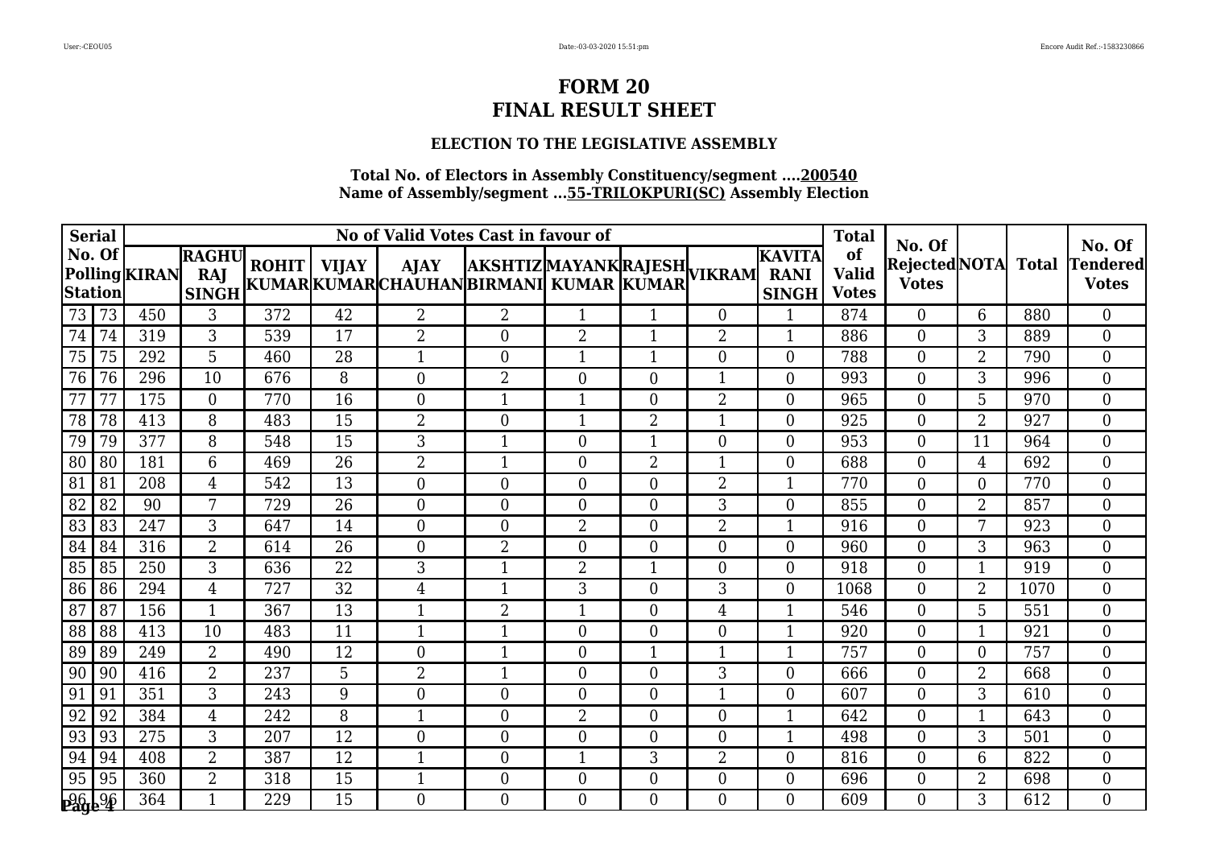# **ELECTION TO THE LEGISLATIVE ASSEMBLY**

| <b>Serial</b>   |        |               |                                     |     |                 | No of Valid Votes Cast in favour of                                                                   |                  |                |                  | <b>Total</b>     | No. Of                                       |                                    |                                     | No. Of         |      |                           |
|-----------------|--------|---------------|-------------------------------------|-----|-----------------|-------------------------------------------------------------------------------------------------------|------------------|----------------|------------------|------------------|----------------------------------------------|------------------------------------|-------------------------------------|----------------|------|---------------------------|
| <b>Station</b>  | No. Of | Polling KIRAN | <b>RAGHU</b><br>RAJ<br><b>SINGH</b> |     |                 | ROHIT   VIJAY   AJAY   AKSHTIZ MAYANK RAJESH <br>  KUMAR KUMAR CHAUHAN BIRMANI  KUMAR   KUMAR  VIKRAM |                  |                |                  |                  | <b>KAVITA</b><br><b>RANI</b><br><b>SINGH</b> | of<br><b>Valid</b><br><b>Votes</b> | Rejected NOTA Total<br><b>Votes</b> |                |      | Tendered <br><b>Votes</b> |
| 73              | 73     | 450           | 3                                   | 372 | 42              | $\overline{2}$                                                                                        | $\overline{2}$   | $\mathbf{1}$   | $\mathbf 1$      | $\theta$         | 1                                            | 874                                | $\overline{0}$                      | 6              | 880  | $\overline{0}$            |
| 74              | 74     | 319           | 3                                   | 539 | 17              | $\overline{2}$                                                                                        | $\overline{0}$   | $\overline{2}$ | 1                | $\overline{2}$   | 1                                            | 886                                | $\overline{0}$                      | 3              | 889  | $\overline{0}$            |
| 75              | 75     | 292           | 5                                   | 460 | 28              | $\mathbf{1}$                                                                                          | $\boldsymbol{0}$ | $\mathbf{1}$   | $\mathbf 1$      | $\overline{0}$   | $\overline{0}$                               | 788                                | $\overline{0}$                      | $\overline{2}$ | 790  | $\overline{0}$            |
| 76              | 76     | 296           | $\overline{10}$                     | 676 | 8               | $\overline{0}$                                                                                        | $\overline{2}$   | $\theta$       | $\theta$         | 1                | $\overline{0}$                               | 993                                | $\overline{0}$                      | 3              | 996  | $\overline{0}$            |
| 77              | 77     | 175           | $\overline{0}$                      | 770 | 16              | $\overline{0}$                                                                                        | $\mathbf{1}$     | 1              | $\overline{0}$   | 2                | $\overline{0}$                               | 965                                | 0                                   | 5              | 970  | $\boldsymbol{0}$          |
| 78              | 78     | 413           | 8                                   | 483 | 15              | $\overline{2}$                                                                                        | $\boldsymbol{0}$ | $\mathbf 1$    | $\overline{2}$   | $\mathbf{1}$     | $\boldsymbol{0}$                             | 925                                | $\overline{0}$                      | $\overline{2}$ | 927  | $\boldsymbol{0}$          |
| 79              | 79     | 377           | 8                                   | 548 | 15              | 3                                                                                                     | $\mathbf{1}$     | $\overline{0}$ | $\mathbf{1}$     | $\overline{0}$   | $\boldsymbol{0}$                             | 953                                | $\overline{0}$                      | 11             | 964  | $\overline{0}$            |
| 80              | 80     | 181           | 6                                   | 469 | 26              | $\overline{2}$                                                                                        | $\mathbf 1$      | $\overline{0}$ | $\overline{2}$   | 1                | $\overline{0}$                               | 688                                | $\Omega$                            | 4              | 692  | $\overline{0}$            |
| 81              | 81     | 208           | 4                                   | 542 | $\overline{13}$ | $\overline{0}$                                                                                        | $\boldsymbol{0}$ | $\overline{0}$ | $\overline{0}$   | $\overline{2}$   | $\mathbf{1}$                                 | 770                                | $\overline{0}$                      | $\overline{0}$ | 770  | $\overline{0}$            |
| $\overline{82}$ | 82     | 90            | 7                                   | 729 | 26              | $\overline{0}$                                                                                        | $\boldsymbol{0}$ | $\Omega$       | $\overline{0}$   | 3                | $\overline{0}$                               | 855                                | $\Omega$                            | $\overline{2}$ | 857  | $\overline{0}$            |
| 83              | 83     | 247           | 3                                   | 647 | 14              | $\boldsymbol{0}$                                                                                      | $\boldsymbol{0}$ | $\overline{2}$ | $\overline{0}$   | $\overline{2}$   | 1                                            | 916                                | $\Omega$                            | 7              | 923  | $\overline{0}$            |
| 84              | 84     | 316           | $\overline{2}$                      | 614 | 26              | $\overline{0}$                                                                                        | $\overline{2}$   | $\overline{0}$ | $\mathbf{0}$     | $\boldsymbol{0}$ | $\overline{0}$                               | 960                                | $\overline{0}$                      | 3              | 963  | $\overline{0}$            |
| 85              | 85     | 250           | 3                                   | 636 | 22              | 3                                                                                                     | $\mathbf{1}$     | $\overline{2}$ | 1                | $\theta$         | $\overline{0}$                               | 918                                | $\Omega$                            | 1              | 919  | $\overline{0}$            |
| 86              | 86     | 294           | $\overline{4}$                      | 727 | 32              | $\overline{4}$                                                                                        | $\mathbf{1}$     | 3              | $\overline{0}$   | 3                | $\overline{0}$                               | 1068                               | $\overline{0}$                      | $\overline{2}$ | 1070 | $\overline{0}$            |
| 87              | 87     | 156           | $\mathbf{1}$                        | 367 | 13              | $\mathbf{1}$                                                                                          | $\overline{2}$   | $\mathbf{1}$   | $\theta$         | $\overline{4}$   | $\mathbf{1}$                                 | 546                                | $\overline{0}$                      | 5              | 551  | $\overline{0}$            |
| 88              | 88     | 413           | 10                                  | 483 | 11              | $\mathbf{1}$                                                                                          | $\mathbf{1}$     | $\Omega$       | $\overline{0}$   | $\overline{0}$   | $\mathbf{1}$                                 | 920                                | $\overline{0}$                      | 1              | 921  | $\overline{0}$            |
| 89              | 89     | 249           | $\overline{2}$                      | 490 | 12              | $\overline{0}$                                                                                        | $\mathbf{1}$     | $\Omega$       | $\mathbf 1$      | 1                | 1                                            | 757                                | 0                                   | $\Omega$       | 757  | $\overline{0}$            |
| 90              | 90     | 416           | $\overline{2}$                      | 237 | 5               | $\overline{2}$                                                                                        | $\mathbf{1}$     | $\overline{0}$ | $\theta$         | 3                | $\overline{0}$                               | 666                                | $\overline{0}$                      | $\overline{2}$ | 668  | $\overline{0}$            |
| 91              | 91     | 351           | 3                                   | 243 | 9               | $\boldsymbol{0}$                                                                                      | $\boldsymbol{0}$ | $\overline{0}$ | $\boldsymbol{0}$ |                  | $\overline{0}$                               | 607                                | $\Omega$                            | 3              | 610  | $\overline{0}$            |
| 92              | 92     | 384           | 4                                   | 242 | 8               | $\mathbf{1}$                                                                                          | $\boldsymbol{0}$ | $\overline{2}$ | $\overline{0}$   | $\overline{0}$   | 1                                            | 642                                | $\Omega$                            | $\mathbf 1$    | 643  | $\boldsymbol{0}$          |
| 93              | 93     | 275           | 3                                   | 207 | 12              | $\overline{0}$                                                                                        | $\overline{0}$   | $\overline{0}$ | $\overline{0}$   | $\theta$         | 1                                            | 498                                | $\overline{0}$                      | 3              | 501  | $\overline{0}$            |
| 94              | 94     | 408           | $\overline{2}$                      | 387 | 12              | 1                                                                                                     | $\boldsymbol{0}$ | $\mathbf 1$    | 3                | $\overline{2}$   | $\boldsymbol{0}$                             | 816                                | $\Omega$                            | 6              | 822  | $\overline{0}$            |
| 95              | 95     | 360           | $\overline{2}$                      | 318 | 15              | $\mathbf{1}$                                                                                          | $\boldsymbol{0}$ | $\overline{0}$ | $\overline{0}$   | $\overline{0}$   | $\overline{0}$                               | 696                                | $\Omega$                            | $\overline{2}$ | 698  | $\overline{0}$            |
| <u>pg6 96</u>   |        | 364           | $\mathbf{1}$                        | 229 | 15              | $\Omega$                                                                                              | $\Omega$         | $\Omega$       | $\Omega$         | $\Omega$         | $\Omega$                                     | 609                                | $\Omega$                            | 3              | 612  | $\Omega$                  |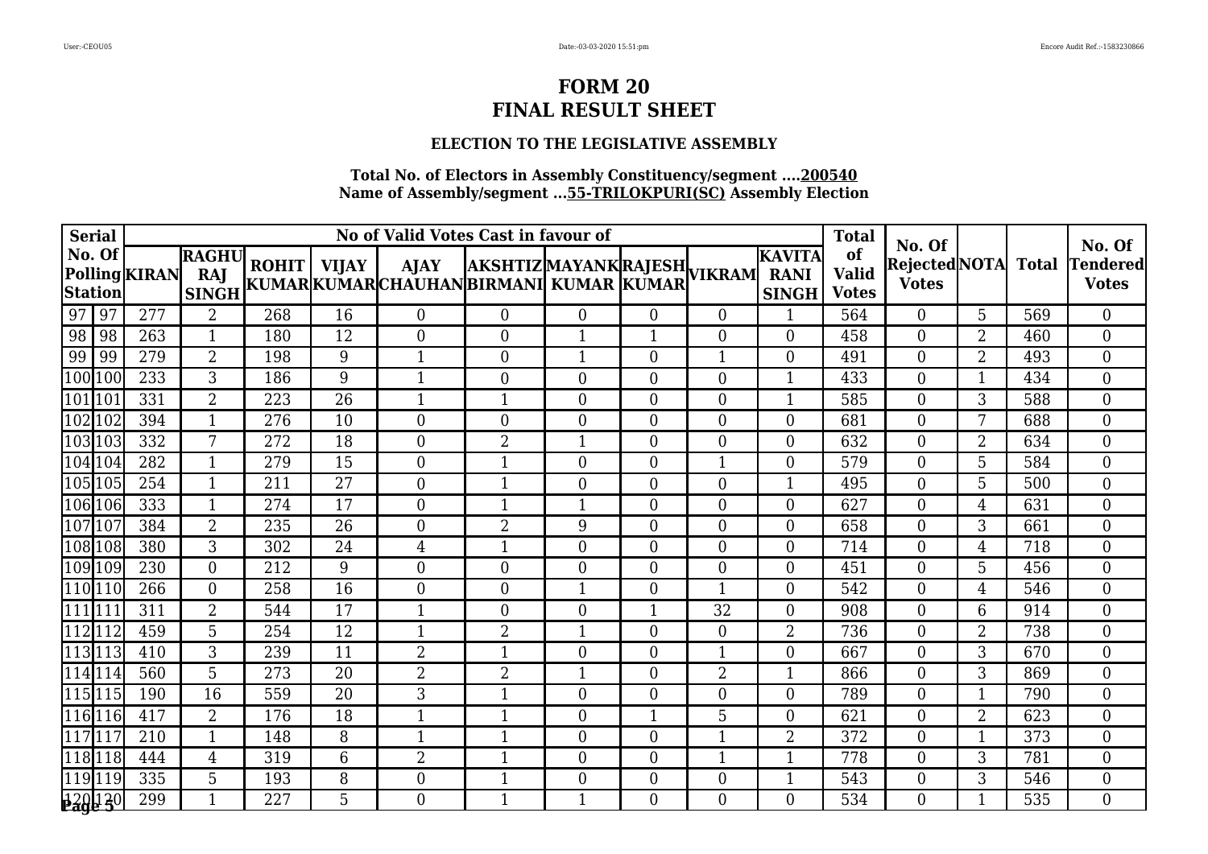### **ELECTION TO THE LEGISLATIVE ASSEMBLY**

| <b>Serial</b>            |               |                                     |     |                 | No of Valid Votes Cast in favour of                                                                           |                  |                  | <b>Total</b>   | No. Of           |                                        |                                    | No. Of                         |                |              |                          |
|--------------------------|---------------|-------------------------------------|-----|-----------------|---------------------------------------------------------------------------------------------------------------|------------------|------------------|----------------|------------------|----------------------------------------|------------------------------------|--------------------------------|----------------|--------------|--------------------------|
| No. Of<br><b>Station</b> | Polling KIRAN | <b>RAGHU</b><br>RAJ<br><b>SINGH</b> |     |                 | ROHIT   VIJAY   AJAY  AKSHTIZ MAYANK RAJESH <br> KUMAR KUMAR CHAUHAN BIRMANI  KUMAR  KUMAR  <sup>VIKRAM</sup> |                  |                  |                |                  | IKAVITA<br><b>RANI</b><br><b>SINGH</b> | of<br><b>Valid</b><br><b>Votes</b> | Rejected NOTA <br><b>Votes</b> |                | <b>Total</b> | Tendered<br><b>Votes</b> |
| $\boxed{97}$<br>97       | 277           | $\overline{2}$                      | 268 | 16              | $\overline{0}$                                                                                                | $\overline{0}$   | $\overline{0}$   | $\overline{0}$ | $\theta$         | $\mathbf{1}$                           | 564                                | $\theta$                       | 5              | 569          | $\overline{0}$           |
| 98 <br>98                | 263           | 1                                   | 180 | 12              | $\overline{0}$                                                                                                | $\theta$         | $\mathbf 1$      |                | $\overline{0}$   | $\overline{0}$                         | 458                                | $\overline{0}$                 | $\overline{2}$ | 460          | $\boldsymbol{0}$         |
| 99<br>99                 | 279           | $\overline{2}$                      | 198 | 9               | $\mathbf 1$                                                                                                   | $\overline{0}$   | $\mathbf{1}$     | $\theta$       | $\mathbf{1}$     | $\overline{0}$                         | 491                                | $\Omega$                       | $\overline{2}$ | 493          | $\overline{0}$           |
| $\overline{100}$<br>100  | 233           | 3                                   | 186 | 9               | $\mathbf{1}$                                                                                                  | $\overline{0}$   | $\overline{0}$   | $\theta$       | $\theta$         | $\mathbf{1}$                           | 433                                | $\Omega$                       | 1              | 434          | $\boldsymbol{0}$         |
| 101 101                  | 331           | $\overline{2}$                      | 223 | 26              | -1                                                                                                            | 1                | $\overline{0}$   | $\overline{0}$ | $\theta$         | $\mathbf{1}$                           | 585                                | $\Omega$                       | 3              | 588          | $\boldsymbol{0}$         |
| $\sqrt{102}$ 102         | 394           | $\mathbf{1}$                        | 276 | 10              | $\boldsymbol{0}$                                                                                              | $\boldsymbol{0}$ | $\overline{0}$   | $\overline{0}$ | $\boldsymbol{0}$ | $\boldsymbol{0}$                       | 681                                | $\overline{0}$                 | 7              | 688          | 0                        |
| 103103                   | 332           | 7                                   | 272 | 18              | $\boldsymbol{0}$                                                                                              | $\overline{2}$   | 1                | $\theta$       | $\overline{0}$   | $\overline{0}$                         | 632                                | $\overline{0}$                 | $\overline{2}$ | 634          | $\boldsymbol{0}$         |
| 104 104                  | 282           | $\mathbf{1}$                        | 279 | 15              | $\overline{0}$                                                                                                |                  | $\overline{0}$   | $\overline{0}$ |                  | $\overline{0}$                         | 579                                | $\overline{0}$                 | 5              | 584          | $\boldsymbol{0}$         |
| 105 105                  | 254           | $\mathbf{1}$                        | 211 | $\overline{27}$ | $\overline{0}$                                                                                                | $\mathbf{1}$     | $\overline{0}$   | $\theta$       | $\overline{0}$   | $\mathbf{1}$                           | 495                                | $\overline{0}$                 | 5              | 500          | $\overline{0}$           |
| $\sqrt{106}$ 106         | 333           | $\mathbf{1}$                        | 274 | 17              | $\overline{0}$                                                                                                | $\mathbf{1}$     | $\mathbf{1}$     | $\Omega$       | $\theta$         | $\overline{0}$                         | 627                                | $\theta$                       | $\overline{4}$ | 631          | $\boldsymbol{0}$         |
| 107 107                  | 384           | $\overline{2}$                      | 235 | 26              | $\boldsymbol{0}$                                                                                              | $\overline{2}$   | 9                | $\theta$       | $\overline{0}$   | $\boldsymbol{0}$                       | 658                                | $\Omega$                       | 3              | 661          | $\boldsymbol{0}$         |
| 108 108                  | 380           | 3                                   | 302 | 24              | 4                                                                                                             | $\mathbf{1}$     | $\boldsymbol{0}$ | $\overline{0}$ | $\boldsymbol{0}$ | $\overline{0}$                         | 714                                | $\boldsymbol{0}$               | 4              | 718          | $\boldsymbol{0}$         |
| 109 109                  | 230           | $\overline{0}$                      | 212 | 9               | $\overline{0}$                                                                                                | $\theta$         | $\Omega$         | $\theta$       | $\theta$         | $\overline{0}$                         | 451                                | $\Omega$                       | 5              | 456          | $\boldsymbol{0}$         |
| $\sqrt{110}$ $110$       | 266           | $\boldsymbol{0}$                    | 258 | 16              | $\boldsymbol{0}$                                                                                              | $\boldsymbol{0}$ | $\mathbf 1$      | $\overline{0}$ | $\mathbf{1}$     | $\boldsymbol{0}$                       | 542                                | $\overline{0}$                 | 4              | 546          | $\boldsymbol{0}$         |
| $\sqrt{111}$ 111         | 311           | $\overline{2}$                      | 544 | 17              | $\mathbf 1$                                                                                                   | $\overline{0}$   | $\overline{0}$   |                | 32               | $\overline{0}$                         | 908                                | $\overline{0}$                 | 6              | 914          | $\overline{0}$           |
| 112112                   | 459           | 5                                   | 254 | 12              | 1                                                                                                             | $\overline{2}$   | 1                | $\theta$       | $\overline{0}$   | 2                                      | 736                                | $\overline{0}$                 | $\overline{2}$ | 738          | $\boldsymbol{0}$         |
| 113113                   | 410           | 3                                   | 239 | 11              | $\overline{2}$                                                                                                | $\mathbf{1}$     | $\overline{0}$   | $\Omega$       | $\mathbf{1}$     | 0                                      | 667                                | $\Omega$                       | 3              | 670          | $\overline{0}$           |
| 114 114                  | 560           | 5                                   | 273 | 20              | $\overline{2}$                                                                                                | $\overline{2}$   | 1                | $\theta$       | $\overline{2}$   | $\mathbf{1}$                           | 866                                | $\Omega$                       | 3              | 869          | $\overline{0}$           |
| 115115                   | 190           | 16                                  | 559 | 20              | 3                                                                                                             | 1                | $\overline{0}$   | $\overline{0}$ | $\overline{0}$   | $\boldsymbol{0}$                       | 789                                | $\overline{0}$                 | 1              | 790          | $\overline{0}$           |
| 116 116                  | 417           | $\overline{2}$                      | 176 | 18              | $\mathbf 1$                                                                                                   | $\mathbf{1}$     | $\overline{0}$   |                | 5                | 0                                      | 621                                | $\overline{0}$                 | $\overline{2}$ | 623          | $\boldsymbol{0}$         |
| $\overline{117}117$      | 210           | $\mathbf{1}$                        | 148 | 8               | $\mathbf{1}$                                                                                                  | $\mathbf{1}$     | $\overline{0}$   | $\theta$       | $\mathbf{1}$     | 2                                      | 372                                | $\overline{0}$                 | 1              | 373          | $\overline{0}$           |
| $\sqrt{118}118$          | 444           | $\overline{4}$                      | 319 | 6               | $\overline{2}$                                                                                                | $\mathbf 1$      | $\boldsymbol{0}$ | $\overline{0}$ | 1                | $\mathbf{1}$                           | 778                                | $\overline{0}$                 | 3              | 781          | $\boldsymbol{0}$         |
| 119 119                  | 335           | 5                                   | 193 | 8               | $\boldsymbol{0}$                                                                                              | $\mathbf{1}$     | $\overline{0}$   | $\overline{0}$ | $\boldsymbol{0}$ | $\mathbf{1}$                           | 543                                | $\overline{0}$                 | 3              | 546          | $\boldsymbol{0}$         |
| 320 130                  | 299           | 1                                   | 227 | 5               | $\Omega$                                                                                                      | $\mathbf{1}$     | $\mathbf{1}$     | $\Omega$       | $\Omega$         | $\overline{0}$                         | 534                                | $\Omega$                       | $\mathbf 1$    | 535          | $\overline{0}$           |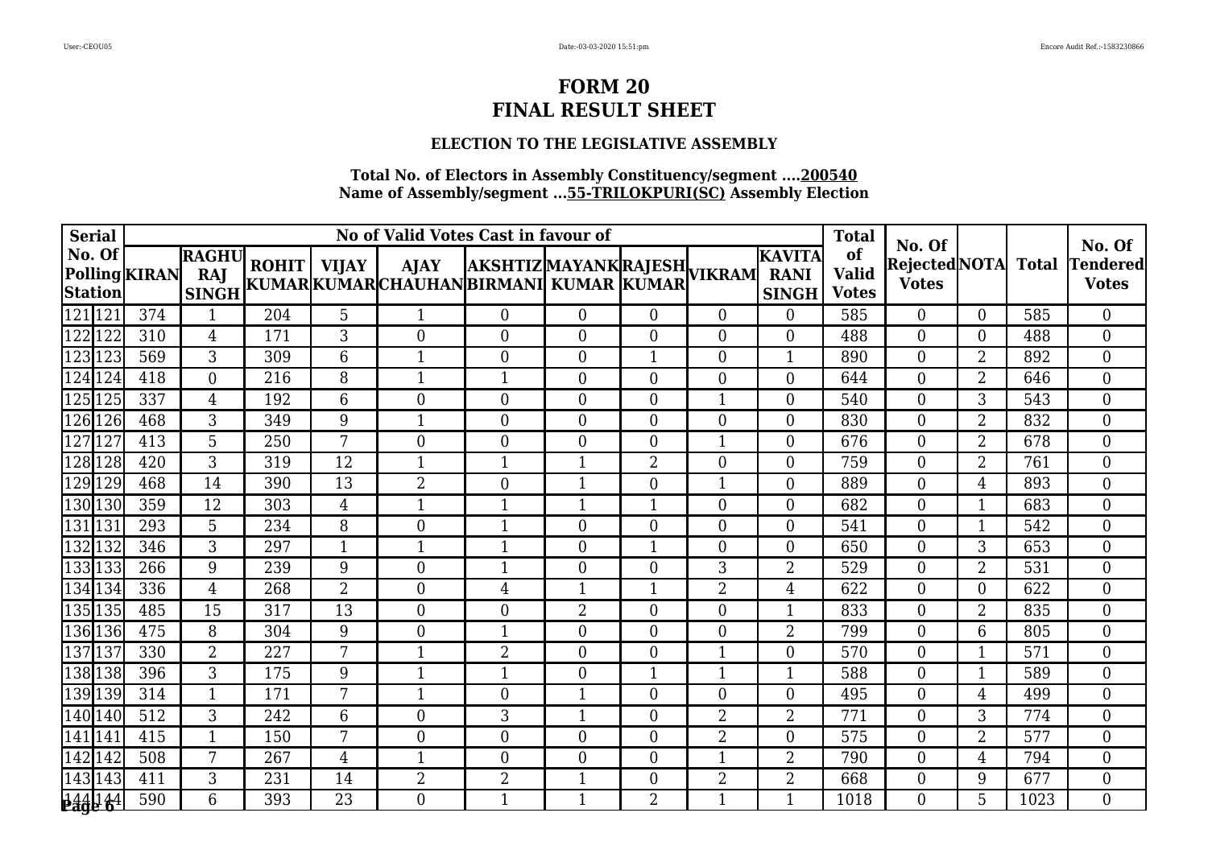### **ELECTION TO THE LEGISLATIVE ASSEMBLY**

| <b>Serial</b>     |               |                                     |     |                | No of Valid Votes Cast in favour of                                                                           |                  |                | <b>Total</b>     | No. Of         |                                        |                                    | No. Of                         |                |              |                          |
|-------------------|---------------|-------------------------------------|-----|----------------|---------------------------------------------------------------------------------------------------------------|------------------|----------------|------------------|----------------|----------------------------------------|------------------------------------|--------------------------------|----------------|--------------|--------------------------|
| No. Of<br>Station | Polling KIRAN | <b>RAGHU</b><br>RAJ<br><b>SINGH</b> |     |                | ROHIT   VIJAY   AJAY  AKSHTIZ MAYANK RAJESH <br> KUMAR KUMAR CHAUHAN BIRMANI  KUMAR  KUMAR  <sup>VIKRAM</sup> |                  |                |                  |                | IKAVITA<br><b>RANI</b><br><b>SINGH</b> | of<br><b>Valid</b><br><b>Votes</b> | Rejected NOTA <br><b>Votes</b> |                | <b>Total</b> | Tendered<br><b>Votes</b> |
| 121121            | 374           | $\mathbf{1}$                        | 204 | 5              | $\mathbf{1}$                                                                                                  | $\overline{0}$   | $\theta$       | $\overline{0}$   | $\Omega$       | $\overline{0}$                         | 585                                | $\overline{0}$                 | $\theta$       | 585          | $\overline{0}$           |
| 122122            | 310           | 4                                   | 171 | 3              | $\overline{0}$                                                                                                | $\overline{0}$   | $\Omega$       | $\theta$         | $\theta$       | $\overline{0}$                         | 488                                | $\Omega$                       | $\theta$       | 488          | $\overline{0}$           |
| 123123            | 569           | 3                                   | 309 | 6              | $\mathbf{1}$                                                                                                  | $\overline{0}$   | $\theta$       | 1                | $\theta$       | 1                                      | 890                                | $\theta$                       | $\overline{2}$ | 892          | $\overline{0}$           |
| 124 124           | 418           | $\mathbf{0}$                        | 216 | 8              | $\mathbf{1}$                                                                                                  | $\mathbf{1}$     | $\theta$       | $\overline{0}$   | $\theta$       | $\overline{0}$                         | 644                                | $\overline{0}$                 | $\overline{2}$ | 646          | $\overline{0}$           |
| 125 125           | 337           | 4                                   | 192 | 6              | $\overline{0}$                                                                                                | $\boldsymbol{0}$ | $\overline{0}$ | $\theta$         | 1              | $\overline{0}$                         | 540                                | 0                              | 3              | 543          | $\overline{0}$           |
| 126 126           | 468           | 3                                   | 349 | 9              | $\mathbf{1}$                                                                                                  | $\boldsymbol{0}$ | $\overline{0}$ | $\boldsymbol{0}$ | $\overline{0}$ | 0                                      | 830                                | $\overline{0}$                 | $\overline{2}$ | 832          | $\overline{0}$           |
| 127127            | 413           | 5                                   | 250 | 7              | $\boldsymbol{0}$                                                                                              | $\boldsymbol{0}$ | $\theta$       | $\overline{0}$   | 1              | $\overline{0}$                         | 676                                | $\overline{0}$                 | $\overline{2}$ | 678          | $\overline{0}$           |
| 128 128           | 420           | 3                                   | 319 | 12             | 1                                                                                                             | $\mathbf{1}$     |                | $\overline{2}$   | $\overline{0}$ | $\overline{0}$                         | 759                                | $\overline{0}$                 | $\overline{2}$ | 761          | $\overline{0}$           |
| 129 129           | 468           | 14                                  | 390 | 13             | $\overline{2}$                                                                                                | $\boldsymbol{0}$ | 1              | $\overline{0}$   | 1              | $\overline{0}$                         | 889                                | $\overline{0}$                 | $\overline{4}$ | 893          | $\overline{0}$           |
| 130130            | 359           | 12                                  | 303 | $\overline{4}$ | $\mathbf{1}$                                                                                                  | $\mathbf{1}$     | $\mathbf{1}$   | $\mathbf 1$      | $\overline{0}$ | $\overline{0}$                         | 682                                | $\overline{0}$                 | 1              | 683          | $\overline{0}$           |
| 131 131           | 293           | 5                                   | 234 | 8              | $\boldsymbol{0}$                                                                                              | $\mathbf{1}$     | $\overline{0}$ | $\theta$         | $\theta$       | $\overline{0}$                         | 541                                | $\overline{0}$                 |                | 542          | $\overline{0}$           |
| 132 132           | 346           | 3                                   | 297 | $\mathbf 1$    | 1                                                                                                             | 1                | $\overline{0}$ | -1               | $\overline{0}$ | $\boldsymbol{0}$                       | 650                                | $\overline{0}$                 | 3              | 653          | $\overline{0}$           |
| 133133            | 266           | 9                                   | 239 | 9              | $\overline{0}$                                                                                                | 1                | $\Omega$       | $\theta$         | 3              | 2                                      | 529                                | $\Omega$                       | $\overline{2}$ | 531          | $\overline{0}$           |
| 134 134           | 336           | 4                                   | 268 | $\overline{2}$ | $\boldsymbol{0}$                                                                                              | $\overline{4}$   | $\mathbf{1}$   | 1                | $\overline{2}$ | 4                                      | 622                                | $\overline{0}$                 | $\theta$       | 622          | $\overline{0}$           |
| 135 135           | 485           | 15                                  | 317 | 13             | $\overline{0}$                                                                                                | $\overline{0}$   | $\overline{2}$ | $\overline{0}$   | $\overline{0}$ |                                        | 833                                | $\overline{0}$                 | $\overline{2}$ | 835          | $\overline{0}$           |
| 136 136           | 475           | 8                                   | 304 | 9              | $\overline{0}$                                                                                                | $\mathbf{1}$     | $\Omega$       | $\overline{0}$   | $\Omega$       | 2                                      | 799                                | $\Omega$                       | 6              | 805          | $\overline{0}$           |
| 137137            | 330           | $\overline{2}$                      | 227 | 7              | 1                                                                                                             | $\overline{2}$   | $\Omega$       | $\theta$         | 1              | $\overline{0}$                         | 570                                | $\Omega$                       | 1              | 571          | $\overline{0}$           |
| 138 138           | 396           | 3                                   | 175 | 9              | $\mathbf{1}$                                                                                                  | 1                | $\theta$       | 1                | $\mathbf{1}$   | $\mathbf{1}$                           | 588                                | $\overline{0}$                 |                | 589          | $\overline{0}$           |
| 139 139           | 314           | $\mathbf{1}$                        | 171 | 7              | 1                                                                                                             | $\boldsymbol{0}$ | -1             | $\theta$         | $\overline{0}$ | 0                                      | 495                                | $\overline{0}$                 | 4              | 499          | $\overline{0}$           |
| 140 140           | 512           | 3                                   | 242 | 6              | $\boldsymbol{0}$                                                                                              | 3                | $\mathbf 1$    | $\boldsymbol{0}$ | $\overline{2}$ | 2                                      | 771                                | $\overline{0}$                 | 3              | 774          | $\overline{0}$           |
| 141 141           | 415           | $\mathbf{1}$                        | 150 | 7              | $\overline{0}$                                                                                                | $\overline{0}$   | $\theta$       | $\overline{0}$   | $\overline{2}$ | $\overline{0}$                         | 575                                | $\overline{0}$                 | $\overline{2}$ | 577          | $\overline{0}$           |
| 142 142           | 508           | 7                                   | 267 | 4              | -1                                                                                                            | $\boldsymbol{0}$ | $\overline{0}$ | $\boldsymbol{0}$ | 1              | 2                                      | 790                                | $\overline{0}$                 | 4              | 794          | $\boldsymbol{0}$         |
| 143 143           | 411           | 3                                   | 231 | 14             | $\overline{2}$                                                                                                | $\overline{2}$   | $\mathbf{1}$   | $\theta$         | $\overline{2}$ | 2                                      | 668                                | $\overline{0}$                 | 9              | 677          | $\overline{0}$           |
| <b>Bage 64</b>    | 590           | 6                                   | 393 | 23             | $\Omega$                                                                                                      | $\mathbf{1}$     | $\mathbf{1}$   | 2                | 1              | $\mathbf{1}$                           | 1018                               | 0                              | 5              | 1023         | $\Omega$                 |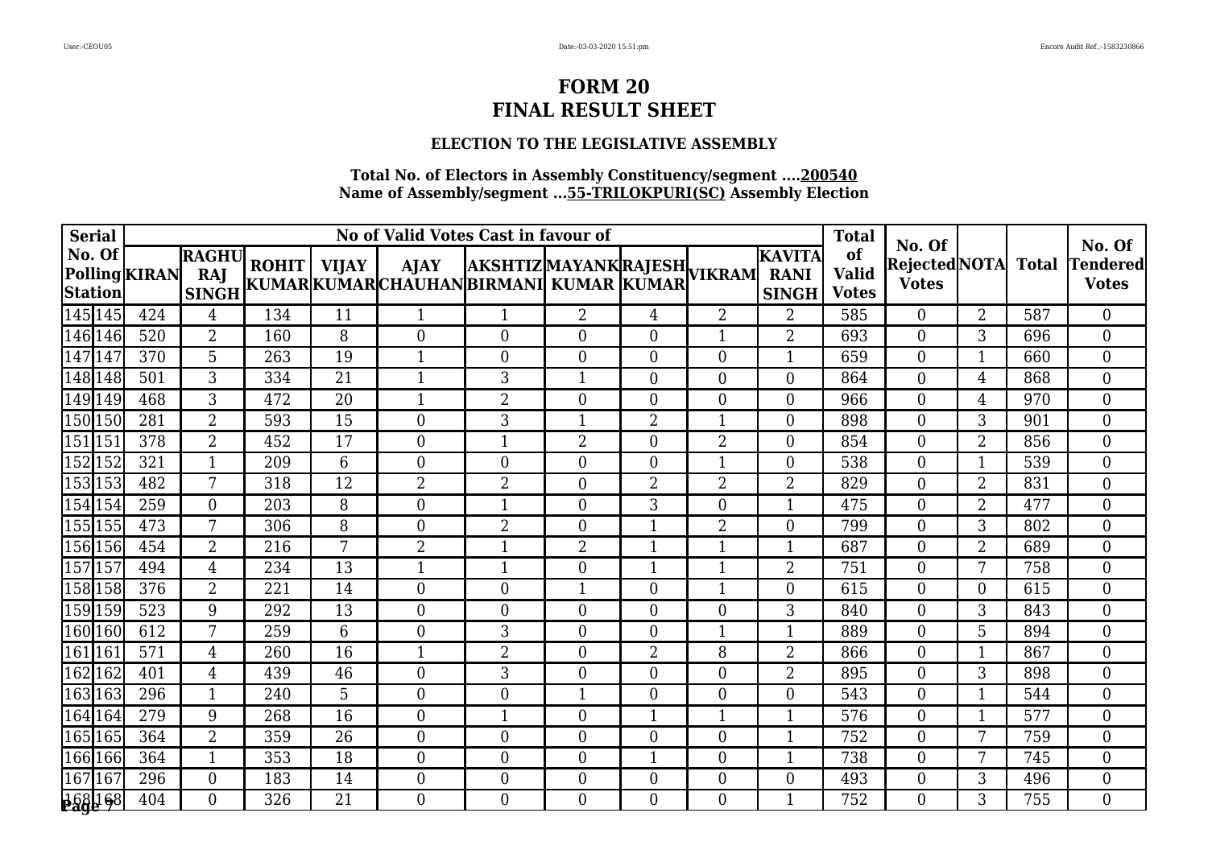# **ELECTION TO THE LEGISLATIVE ASSEMBLY**

| <b>Serial</b>                             |     |                                     |     |    | No of Valid Votes Cast in favour of                                                                 |                  |                  | <b>Total</b>   | No. Of           |                                        |                                    | No. Of                         |                |              |                          |
|-------------------------------------------|-----|-------------------------------------|-----|----|-----------------------------------------------------------------------------------------------------|------------------|------------------|----------------|------------------|----------------------------------------|------------------------------------|--------------------------------|----------------|--------------|--------------------------|
| No. Of<br>Polling KIRAN<br><b>Station</b> |     | <b>RAGHU</b><br>RAJ<br><b>SINGH</b> |     |    | ROHIT   VIJAY   AJAY  AKSHTIZ MAYANK RAJESH  <br> KUMAR KUMAR CHAUHAN BIRMANI KUMAR  KUMAR   VIKRAM |                  |                  |                |                  | IKAVITA<br><b>RANI</b><br><b>SINGH</b> | of<br><b>Valid</b><br><b>Votes</b> | Rejected NOTA <br><b>Votes</b> |                | <b>Total</b> | Tendered<br><b>Votes</b> |
| 145 145                                   | 424 | 4                                   | 134 | 11 | 1                                                                                                   | $\mathbf 1$      | $\overline{2}$   | $\overline{4}$ | $\overline{2}$   | $\overline{2}$                         | 585                                | $\overline{0}$                 | $\overline{2}$ | 587          | $\overline{0}$           |
| 146 146                                   | 520 | $\overline{2}$                      | 160 | 8  | $\overline{0}$                                                                                      | $\theta$         | $\overline{0}$   | $\theta$       | 1                | 2                                      | 693                                | $\overline{0}$                 | 3              | 696          | $\boldsymbol{0}$         |
| $\overline{147}$<br>147                   | 370 | 5                                   | 263 | 19 | $\mathbf 1$                                                                                         | $\mathbf{0}$     | $\theta$         | $\theta$       | $\overline{0}$   | $\mathbf{1}$                           | 659                                | $\Omega$                       | 1              | 660          | $\overline{0}$           |
| 148 148                                   | 501 | 3                                   | 334 | 21 | $\mathbf{1}$                                                                                        | 3                | 1                | $\theta$       | $\theta$         | $\boldsymbol{0}$                       | 864                                | $\Omega$                       | 4              | 868          | $\boldsymbol{0}$         |
| $\sqrt{1}49$  149                         | 468 | 3                                   | 472 | 20 | -1                                                                                                  | $\overline{2}$   | $\overline{0}$   | $\overline{0}$ | $\theta$         | $\overline{0}$                         | 966                                | $\Omega$                       | 4              | 970          | $\boldsymbol{0}$         |
| $\overline{150}$  150                     | 281 | $\overline{2}$                      | 593 | 15 | $\boldsymbol{0}$                                                                                    | $\mathfrak{Z}$   | 1                | $\overline{2}$ | $\mathbf{1}$     | $\boldsymbol{0}$                       | 898                                | $\overline{0}$                 | 3              | 901          | $\boldsymbol{0}$         |
| 151 151                                   | 378 | $\overline{2}$                      | 452 | 17 | $\boldsymbol{0}$                                                                                    | $\mathbf{1}$     | $\overline{2}$   | $\theta$       | $\overline{2}$   | $\overline{0}$                         | 854                                | $\overline{0}$                 | $\overline{2}$ | 856          | $\boldsymbol{0}$         |
| 152 152                                   | 321 | 1                                   | 209 | 6  | $\overline{0}$                                                                                      | $\theta$         | $\overline{0}$   | $\overline{0}$ |                  | $\overline{0}$                         | 538                                | $\overline{0}$                 | 1              | 539          | $\boldsymbol{0}$         |
| 153 153                                   | 482 | 7                                   | 318 | 12 | $\overline{2}$                                                                                      | $\overline{2}$   | $\overline{0}$   | $\overline{2}$ | $\overline{2}$   | $\overline{2}$                         | 829                                | $\overline{0}$                 | $\overline{2}$ | 831          | $\overline{0}$           |
| $\sqrt{154}$ 154                          | 259 | $\overline{0}$                      | 203 | 8  | $\overline{0}$                                                                                      | $\mathbf{1}$     | $\overline{0}$   | 3              | $\theta$         | $\mathbf{1}$                           | 475                                | $\theta$                       | $\overline{2}$ | 477          | $\boldsymbol{0}$         |
| 155 155                                   | 473 | 7                                   | 306 | 8  | $\boldsymbol{0}$                                                                                    | $\overline{2}$   | $\overline{0}$   |                | $\overline{2}$   | $\boldsymbol{0}$                       | 799                                | $\overline{0}$                 | 3              | 802          | $\boldsymbol{0}$         |
| 156 156                                   | 454 | $\overline{2}$                      | 216 | 7  | $\overline{2}$                                                                                      | $\mathbf 1$      | $\overline{2}$   |                | $\mathbf{1}$     | $\mathbf{1}$                           | 687                                | $\boldsymbol{0}$               | 2              | 689          | $\overline{0}$           |
| $157$ 157                                 | 494 | 4                                   | 234 | 13 | 1                                                                                                   | $\mathbf{1}$     | $\overline{0}$   | $\mathbf 1$    | $\mathbf{1}$     | 2                                      | 751                                | $\Omega$                       | 7              | 758          | $\boldsymbol{0}$         |
| $\sqrt{158}158$                           | 376 | $\overline{2}$                      | 221 | 14 | $\boldsymbol{0}$                                                                                    | $\mathbf{0}$     | $\mathbf 1$      | $\theta$       | $\mathbf{1}$     | $\boldsymbol{0}$                       | 615                                | $\overline{0}$                 | $\theta$       | 615          | $\boldsymbol{0}$         |
| 159 159                                   | 523 | 9                                   | 292 | 13 | $\overline{0}$                                                                                      | $\overline{0}$   | $\overline{0}$   | $\overline{0}$ | $\overline{0}$   | 3                                      | 840                                | $\overline{0}$                 | 3              | 843          | $\overline{0}$           |
| 160 160                                   | 612 | 7                                   | 259 | 6  | $\boldsymbol{0}$                                                                                    | 3                | $\overline{0}$   | $\theta$       | $\mathbf{1}$     | $\mathbf{1}$                           | 889                                | $\overline{0}$                 | 5              | 894          | $\boldsymbol{0}$         |
| $\sqrt{161}$ 161                          | 571 | 4                                   | 260 | 16 | 1                                                                                                   | $\overline{2}$   | $\overline{0}$   | $\overline{2}$ | 8                | 2                                      | 866                                | $\Omega$                       | $\mathbf 1$    | 867          | $\overline{0}$           |
| $\overline{162}$<br>162                   | 401 | 4                                   | 439 | 46 | $\overline{0}$                                                                                      | 3                | $\theta$         | $\theta$       | $\theta$         | 2                                      | 895                                | $\Omega$                       | 3              | 898          | $\overline{0}$           |
| 163 163                                   | 296 | 1                                   | 240 | 5  | $\boldsymbol{0}$                                                                                    | $\boldsymbol{0}$ | 1                | $\overline{0}$ | $\theta$         | $\boldsymbol{0}$                       | 543                                | $\overline{0}$                 | 1              | 544          | $\overline{0}$           |
| $\sqrt{164}$ 164                          | 279 | 9                                   | 268 | 16 | $\boldsymbol{0}$                                                                                    | $\mathbf{1}$     | $\boldsymbol{0}$ |                | $\mathbf{1}$     | $\mathbf{1}$                           | 576                                | $\overline{0}$                 | 1              | 577          | $\boldsymbol{0}$         |
| 165 165                                   | 364 | $\overline{2}$                      | 359 | 26 | $\overline{0}$                                                                                      | $\mathbf{0}$     | $\overline{0}$   | $\theta$       | $\overline{0}$   | $\mathbf{1}$                           | 752                                | $\overline{0}$                 | 7              | 759          | $\overline{0}$           |
| 166 166                                   | 364 | 1                                   | 353 | 18 | $\boldsymbol{0}$                                                                                    | $\boldsymbol{0}$ | $\boldsymbol{0}$ |                | $\boldsymbol{0}$ | $\mathbf{1}$                           | 738                                | $\overline{0}$                 | 7              | 745          | $\boldsymbol{0}$         |
| 167<br>167                                | 296 | $\mathbf{0}$                        | 183 | 14 | $\boldsymbol{0}$                                                                                    | $\boldsymbol{0}$ | $\overline{0}$   | $\overline{0}$ | $\boldsymbol{0}$ | $\boldsymbol{0}$                       | 493                                | $\overline{0}$                 | 3              | 496          | $\boldsymbol{0}$         |
| 168 168                                   | 404 | 0                                   | 326 | 21 | $\Omega$                                                                                            | $\Omega$         | 0                | $\Omega$       | $\Omega$         | $\mathbf{1}$                           | 752                                | $\Omega$                       | 3              | 755          | $\overline{0}$           |